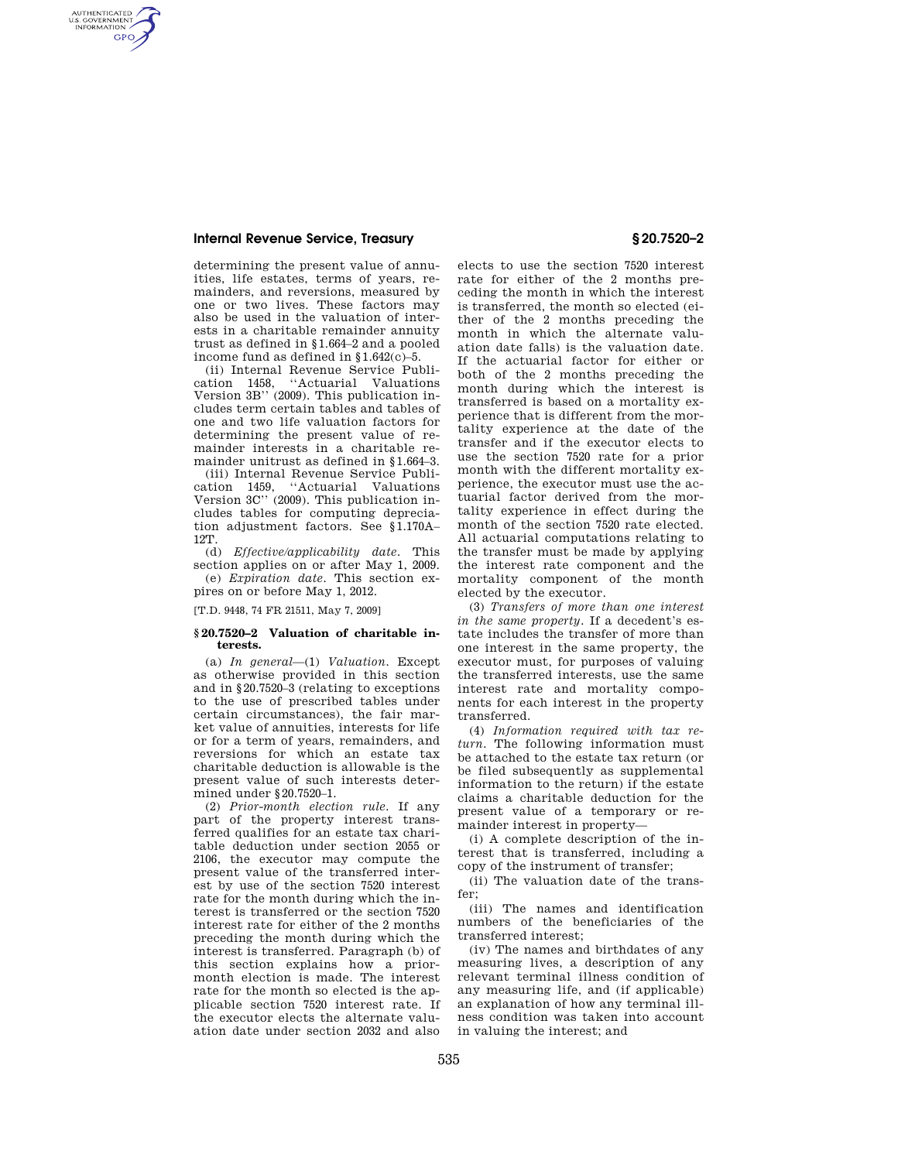## **Internal Revenue Service, Treasury § 20.7520–2**

AUTHENTICATED<br>U.S. GOVERNMENT<br>INFORMATION **GPO** 

> determining the present value of annuities, life estates, terms of years, remainders, and reversions, measured by one or two lives. These factors may also be used in the valuation of interests in a charitable remainder annuity trust as defined in §1.664–2 and a pooled income fund as defined in §1.642(c)–5.

> (ii) Internal Revenue Service Publication 1458, ''Actuarial Valuations Version 3B'' (2009). This publication includes term certain tables and tables of one and two life valuation factors for determining the present value of remainder interests in a charitable remainder unitrust as defined in §1.664–3.

> (iii) Internal Revenue Service Publication 1459, ''Actuarial Valuations Version 3C'' (2009). This publication includes tables for computing depreciation adjustment factors. See §1.170A– 12T.

(d) *Effective/applicability date.* This section applies on or after May 1, 2009. (e) *Expiration date.* This section ex-

pires on or before May 1, 2012.

[T.D. 9448, 74 FR 21511, May 7, 2009]

### **§ 20.7520–2 Valuation of charitable interests.**

(a) *In general*—(1) *Valuation.* Except as otherwise provided in this section and in §20.7520–3 (relating to exceptions to the use of prescribed tables under certain circumstances), the fair market value of annuities, interests for life or for a term of years, remainders, and reversions for which an estate tax charitable deduction is allowable is the present value of such interests determined under §20.7520–1.

(2) *Prior-month election rule.* If any part of the property interest transferred qualifies for an estate tax charitable deduction under section 2055 or 2106, the executor may compute the present value of the transferred interest by use of the section 7520 interest rate for the month during which the interest is transferred or the section 7520 interest rate for either of the 2 months preceding the month during which the interest is transferred. Paragraph (b) of this section explains how a priormonth election is made. The interest rate for the month so elected is the applicable section 7520 interest rate. If the executor elects the alternate valuation date under section 2032 and also

elects to use the section 7520 interest rate for either of the 2 months preceding the month in which the interest is transferred, the month so elected (either of the 2 months preceding the month in which the alternate valuation date falls) is the valuation date. If the actuarial factor for either or both of the 2 months preceding the month during which the interest is transferred is based on a mortality experience that is different from the mortality experience at the date of the transfer and if the executor elects to use the section 7520 rate for a prior month with the different mortality experience, the executor must use the actuarial factor derived from the mortality experience in effect during the month of the section 7520 rate elected. All actuarial computations relating to the transfer must be made by applying the interest rate component and the mortality component of the month elected by the executor.

(3) *Transfers of more than one interest in the same property.* If a decedent's estate includes the transfer of more than one interest in the same property, the executor must, for purposes of valuing the transferred interests, use the same interest rate and mortality components for each interest in the property transferred.

(4) *Information required with tax return.* The following information must be attached to the estate tax return (or be filed subsequently as supplemental information to the return) if the estate claims a charitable deduction for the present value of a temporary or remainder interest in property—

(i) A complete description of the interest that is transferred, including a copy of the instrument of transfer;

(ii) The valuation date of the transfer;

(iii) The names and identification numbers of the beneficiaries of the transferred interest;

(iv) The names and birthdates of any measuring lives, a description of any relevant terminal illness condition of any measuring life, and (if applicable) an explanation of how any terminal illness condition was taken into account in valuing the interest; and